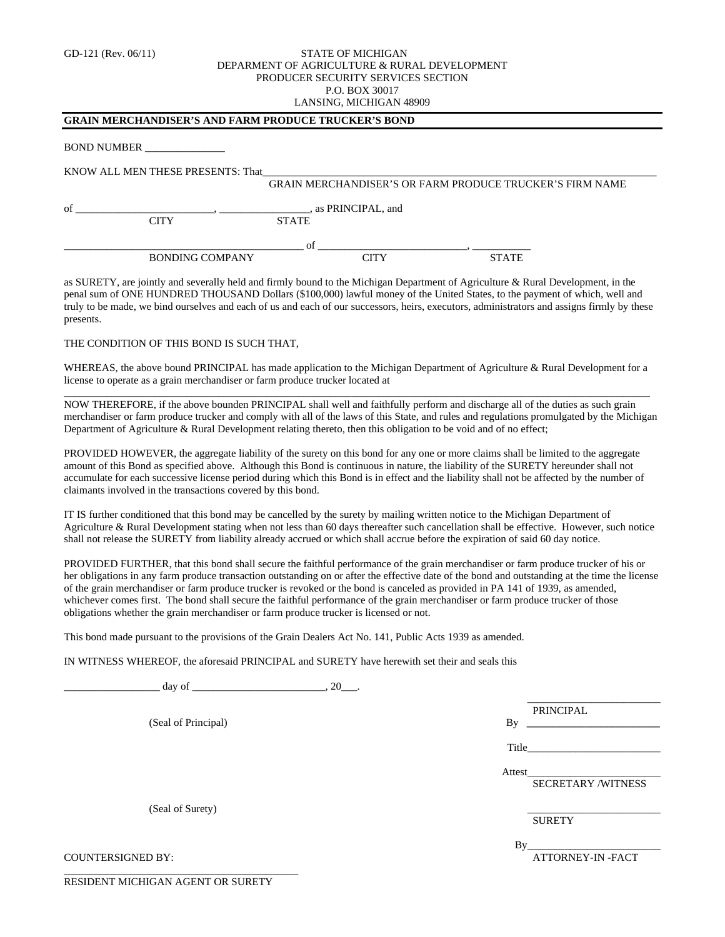## GD-121 (Rev. 06/11) **STATE OF MICHIGAN** DEPARMENT OF AGRICULTURE & RURAL DEVELOPMENT PRODUCER SECURITY SERVICES SECTION P.O. BOX 30017 LANSING, MICHIGAN 48909

## **GRAIN MERCHANDISER'S AND FARM PRODUCE TRUCKER'S BOND**

BOND NUMBER \_\_\_\_\_\_\_\_\_\_\_\_\_\_\_

KNOW ALL MEN THESE PRESENTS: That

|    |                        |                                     | <b>GRAIN MERCHANDISER'S OR FARM PRODUCE TRUCKER'S FIRM NAME</b> |
|----|------------------------|-------------------------------------|-----------------------------------------------------------------|
| of | CITY                   | , as PRINCIPAL, and<br><b>STATE</b> |                                                                 |
|    | <b>BONDING COMPANY</b> | Ωt                                  | <b>STATE</b>                                                    |

as SURETY, are jointly and severally held and firmly bound to the Michigan Department of Agriculture & Rural Development, in the penal sum of ONE HUNDRED THOUSAND Dollars (\$100,000) lawful money of the United States, to the payment of which, well and truly to be made, we bind ourselves and each of us and each of our successors, heirs, executors, administrators and assigns firmly by these presents.

## THE CONDITION OF THIS BOND IS SUCH THAT,

WHEREAS, the above bound PRINCIPAL has made application to the Michigan Department of Agriculture & Rural Development for a license to operate as a grain merchandiser or farm produce trucker located at \_\_\_\_\_\_\_\_\_\_\_\_\_\_\_\_\_\_\_\_\_\_\_\_\_\_\_\_\_\_\_\_\_\_\_\_\_\_\_\_\_\_\_\_\_\_\_\_\_\_\_\_\_\_\_\_\_\_\_\_\_\_\_\_\_\_\_\_\_\_\_\_\_\_\_\_\_\_\_\_\_\_\_\_\_\_\_\_\_\_\_\_\_\_\_\_\_\_\_\_\_\_\_\_\_\_\_\_\_\_

NOW THEREFORE, if the above bounden PRINCIPAL shall well and faithfully perform and discharge all of the duties as such grain merchandiser or farm produce trucker and comply with all of the laws of this State, and rules and regulations promulgated by the Michigan Department of Agriculture & Rural Development relating thereto, then this obligation to be void and of no effect;

PROVIDED HOWEVER, the aggregate liability of the surety on this bond for any one or more claims shall be limited to the aggregate amount of this Bond as specified above. Although this Bond is continuous in nature, the liability of the SURETY hereunder shall not accumulate for each successive license period during which this Bond is in effect and the liability shall not be affected by the number of claimants involved in the transactions covered by this bond.

IT IS further conditioned that this bond may be cancelled by the surety by mailing written notice to the Michigan Department of Agriculture & Rural Development stating when not less than 60 days thereafter such cancellation shall be effective. However, such notice shall not release the SURETY from liability already accrued or which shall accrue before the expiration of said 60 day notice.

PROVIDED FURTHER, that this bond shall secure the faithful performance of the grain merchandiser or farm produce trucker of his or her obligations in any farm produce transaction outstanding on or after the effective date of the bond and outstanding at the time the license of the grain merchandiser or farm produce trucker is revoked or the bond is canceled as provided in PA 141 of 1939, as amended, whichever comes first. The bond shall secure the faithful performance of the grain merchandiser or farm produce trucker of those obligations whether the grain merchandiser or farm produce trucker is licensed or not.

This bond made pursuant to the provisions of the Grain Dealers Act No. 141, Public Acts 1939 as amended.

IN WITNESS WHEREOF, the aforesaid PRINCIPAL and SURETY have herewith set their and seals this

 $\frac{day}{x}$  of  $\frac{20}{x}$ . \_\_\_\_\_\_\_\_\_\_\_\_\_\_\_\_\_\_\_\_\_\_\_\_\_ (Seal of Principal) PRINCIPAL  $\mathbf{By}$ <sub> $\mathbf{Q}$ </sub> Title\_\_\_\_\_\_\_\_\_\_\_\_\_\_\_\_\_\_\_\_\_\_\_\_\_ Attest\_\_\_\_\_\_\_\_\_\_\_\_\_\_\_\_\_\_\_\_\_\_\_\_\_ SECRETARY /WITNESS (Seal of Surety) **SURETY**  $By$ COUNTERSIGNED BY: ATTORNEY-IN -FACT \_\_\_\_\_\_\_\_\_\_\_\_\_\_\_\_\_\_\_\_\_\_\_\_\_\_\_\_\_\_\_\_\_\_\_\_\_\_\_\_\_\_\_\_

RESIDENT MICHIGAN AGENT OR SURETY